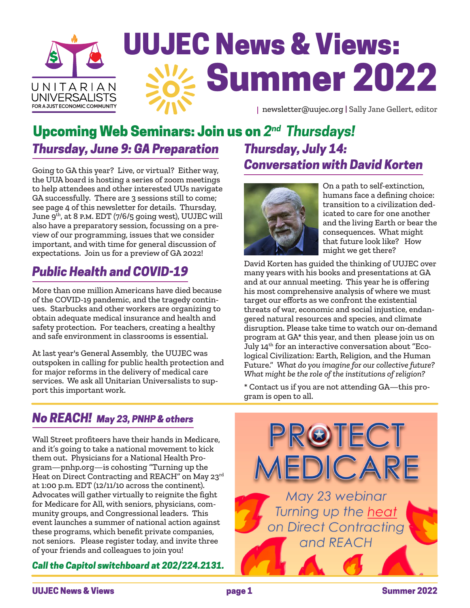

## **UUJEC News & Views: Summer 2022**  $\frac{1}{2}$

newsletter@uujec.org | Sally Jane Gellert, editor

#### **Upcoming Web Seminars: Join us on** *2 nd Thursdays! Thursday, June 9: GA Preparation Thursday, July 14:*

Going to GA this year? Live, or virtual? Either way, the UUA board is hosting a series of zoom meetings to help attendees and other interested UUs navigate GA successfully. There are 3 sessions still to come; see page 4 of this newsletter for details. Thursday, June  $9<sup>th</sup>$ , at 8 P.M. EDT (7/6/5 going west), UUJEC will also have a preparatory session, focussing on a preview of our programming, issues that we consider important, and with time for general discussion of expectations. Join us for a preview of GA 2022!

## *Public Health and COVID-19*

More than one million Americans have died because of the COVID-19 pandemic, and the tragedy continues. Starbucks and other workers are organizing to obtain adequate medical insurance and health and safety protection. For teachers, creating a healthy and safe environment in classrooms is essential.

At last year's General Assembly, the UUJEC was outspoken in calling for public health protection and for major reforms in the delivery of medical care services. We ask all Unitarian Universalists to support this important work.

# *Conversation with David Korten*



On a path to self-extinction, humans face a defining choice: transition to a civilization dedicated to care for one another and the living Earth or bear the consequences. What might that future look like? How might we get there?

David Korten has guided the thinking of UUJEC over many years with his books and presentations at GA and at our annual meeting. This year he is offering his most comprehensive analysis of where we must target our efforts as we confront the existential threats of war, economic and social injustice, endangered natural resources and species, and climate disruption. Please take time to watch our on-demand program at GA\* this year, and then please join us on July 14<sup>th</sup> for an interactive conversation about "Ecological Civilization: Earth, Religion, and the Human Future." *What do you imagine for our collective future? What might be the role of the institutions of religion?*

\* Contact us if you are not attending GA—this program is open to all.

## *No REACH! May 23, PNHP & others*

Wall Street profiteers have their hands in Medicare, and it's going to take a national movement to kick them out. Physicians for a National Health Program—pnhp.org—is cohosting "Turning up the Heat on Direct Contracting and REACH" on May 23rd at 1:00 p.m. EDT (12/11/10 across the continent). Advocates will gather virtually to reignite the fight for Medicare for All, with seniors, physicians, community groups, and Congressional leaders. This event launches a summer of national action against these programs, which benefit private companies, not seniors. Please register today, and invite three of your friends and colleagues to join you!

#### *Call the Capitol switchboard at 202/224.2131.*

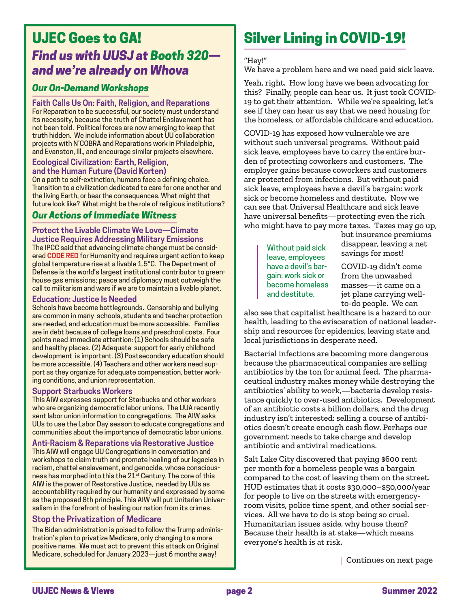## **UJEC Goes to GA!** *Find us with UUSJ at Booth 320 and we're already on Whova*

#### *Our On-Demand Workshops*

#### **Faith Calls Us On: Faith, Religion, and Reparations**

**For Reparation to be successful, our society must understand its necessity, because the truth of Chattel Enslavement has not been told. Political forces are now emerging to keep that truth hidden. We include information about UU collaboration projects with N'COBRA and Reparations work in Philadelphia, and Evanston, Ill., and encourage similar projects elsewhere.**

#### **Ecological Civilization: Earth, Religion, and the Human Future (David Korten)**

**On a path to self-extinction, humans face a defining choice. Transition to a civilization dedicated to care for one another and the living Earth, or bear the consequences. What might that future look like? What might be the role of religious institutions?**

#### *Our Actions of Immediate Witness*

#### **Protect the Livable Climate We Love—Climate**

**Justice Requires Addressing Military Emissions The IPCC said that advancing climate change must be considered CODE RED for Humanity and requires urgent action to keep global temperature rise at a livable 1.5°C. The Department of Defense is the world's largest institutional contributor to greenhouse gas emissions; peace and diplomacy must outweigh the call to militarism and wars if we are to maintain a livable planet.**

#### **Education: Justice Is Needed**

**Schools have become battlegrounds. Censorship and bullying are common in many schools, students and teacher protection are needed, and education must be more accessible. Families are in debt because of college loans and preschool costs. Four points need immediate attention: (1) Schools should be safe and healthy places. (2) Adequate support for early childhood development is important. (3) Postsecondary education should be more accessible. (4) Teachers and other workers need support as they organize for adequate compensation, better working conditions, and union representation.**

#### **Support Starbucks Workers**

**This AIW expresses support for Starbucks and other workers who are organizing democratic labor unions. The UUA recently sent labor union information to congregations. The AIW asks UUs to use the Labor Day season to educate congregations and communities about the importance of democratic labor unions.**

#### **Anti-Racism & Reparations via Restorative Justice**

**This AIW will engage UU Congregations in conversation and workshops to claim truth and promote healing of our legacies in racism, chattel enslavement, and genocide, whose consciousness has morphed into this the 21st Century. The core of this AIW is the power of Restorative Justice, needed by UUs as accountability required by our humanity and expressed by some as the proposed 8th principle. This AIW will put Unitarian Universalism in the forefront of healing our nation from its crimes.**

#### **Stop the Privatization of Medicare**

**The Biden administration is poised to follow the Trump administration's plan to privatize Medicare, only changing to a more positive name. We must act to prevent this attack on Original Medicare, scheduled for January 2023—just 6 months away!**

## **Silver Lining in COVID-19!**

#### "Hey!"

We have a problem here and we need paid sick leave.

Yeah, right. How long have we been advocating for this? Finally, people can hear us. It just took COVID-19 to get their attention. While we're speaking, let's see if they can hear us say that we need housing for the homeless, or affordable childcare and education.

COVID-19 has exposed how vulnerable we are without such universal programs. Without paid sick leave, employees have to carry the entire burden of protecting coworkers and customers. The employer gains because coworkers and customers are protected from infections. But without paid sick leave, employees have a devil's bargain: work sick or become homeless and destitute. Now we can see that Universal Healthcare and sick leave have universal benefits—protecting even the rich who might have to pay more taxes. Taxes may go up,

> **Without paid sick leave, employees have a devil's bargain: work sick or become homeless and destitute.**

but insurance premiums disappear, leaving a net savings for most!

COVID-19 didn't come from the unwashed masses—it came on a jet plane carrying wellto-do people. We can

also see that capitalist healthcare is a hazard to our health, leading to the evisceration of national leadership and resources for epidemics, leaving state and local jurisdictions in desperate need.

Bacterial infections are becoming more dangerous because the pharmaceutical companies are selling antibiotics by the ton for animal feed. The pharmaceutical industry makes money while destroying the antibiotics' ability to work,—bacteria develop resistance quickly to over-used antibiotics. Development of an antibiotic costs a billion dollars, and the drug industry isn't interested: selling a course of antibiotics doesn't create enough cash flow. Perhaps our government needs to take charge and develop antibiotic and antiviral medications.

Salt Lake City discovered that paying \$600 rent per month for a homeless people was a bargain compared to the cost of leaving them on the street. HUD estimates that it costs \$30,000–\$50,000/year for people to live on the streets with emergencyroom visits, police time spent, and other social services. All we have to do is stop being so cruel. Humanitarian issues aside, why house them? Because their health is at stake—which means everyone's health is at risk.

Continues on next page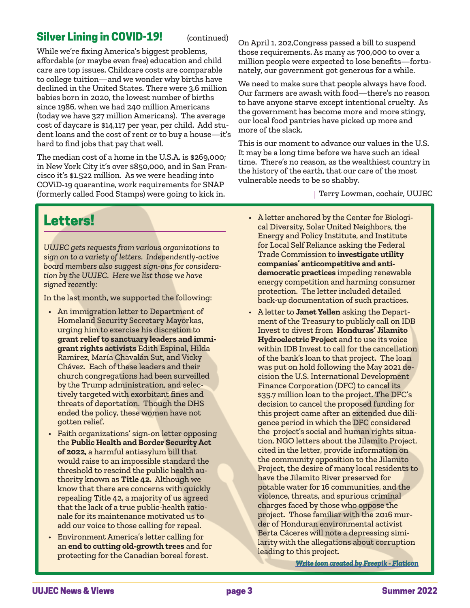#### **Silver Lining in COVID-19!** (continued)

While we're fixing America's biggest problems, affordable (or maybe even free) education and child care are top issues. Childcare costs are comparable to college tuition—and we wonder why births have declined in the United States. There were 3.6 million babies born in 2020, the lowest number of births since 1986, when we had 240 million Americans (today we have 327 million Americans). The average cost of daycare is \$14,117 per year, per child. Add student loans and the cost of rent or to buy a house—it's hard to find jobs that pay that well.

The median cost of a home in the U.S.A. is \$269,000; in New York City it's over \$850,000, and in San Francisco it's \$1.522 million. As we were heading into COViD-19 quarantine, work requirements for SNAP (formerly called Food Stamps) were going to kick in.

## **Letters!**

*UUJEC gets requests from various organizations to sign on to a variety of letters. Independently-active board members also suggest sign-ons for consideration by the UUJEC. Here we list those we have signed recently:*

In the last month, we supported the following:

- An immigration letter to Department of Homeland Security Secretary Mayorkas, urging him to exercise his discretion to **grant relief to sanctuary leaders and immigrant rights activists** Edith Espinal, Hilda Ramírez, María Chavalán Sut, and Vicky Chávez. Each of these leaders and their church congregations had been surveilled by the Trump administration, and selectively targeted with exorbitant fines and threats of deportation. Though the DHS ended the policy, these women have not gotten relief.
- Faith organizations' sign-on letter opposing the **Public Health and Border SecurityAct of 2022,** a harmful antiasylum bill that would raise to an impossible standard the threshold to rescind the public health authority known as **Title 42.** Although we know that there are concerns with quickly repealing Title 42, a majority of us agreed that the lack of a true public-health rationale for its maintenance motivated us to add our voice to those calling for repeal.
- Environment America's letter calling for an **end to cutting old-growth trees** and for protecting for the Canadian boreal forest.

On April 1, 202,Congress passed a bill to suspend those requirements. As many as 700,000 to over a million people were expected to lose benefits—fortunately, our government got generous for a while.

We need to make sure that people always have food. Our farmers are awash with food—there's no reason to have anyone starve except intentional cruelty. As the government has become more and more stingy, our local food pantries have picked up more and more of the slack.

This is our moment to advance our values in the U.S. It may be a long time before we have such an ideal time. There's no reason, as the wealthiest country in the history of the earth, that our care of the most vulnerable needs to be so shabby.

Terry Lowman, cochair, UUJEC

- A letter anchored by the Center for Biological Diversity, Solar United Neighbors, the Energy and Policy Institute, and Institute for Local Self Reliance asking the Federal Trade Commission to **investigate utility companies' anticompetitive and antidemocratic practices** impeding renewable energy competition and harming consumer protection. The letter included detailed back-up documentation of such practices.
- A letter to **Janet Yellen** asking the Department of the Treasury to publicly call on IDB Invest to divest from **Honduras' Jilamito Hydroelectric Project** and to use its voice within IDB Invest to call for the cancellation of the bank's loan to that project. The loan was put on hold following the May 2021 decision the U.S. International Development Finance Corporation (DFC) to cancel its \$35.7 million loan to the project. The DFC's decision to cancel the proposed funding for this project came after an extended due diligence period in which the DFC considered the project's social and human rights situation. NGO letters about the Jilamito Project, cited in the letter, provide information on the community opposition to the Jilamito Project, the desire of many local residents to have the Jilamito River preserved for potable water for 16 communities, and the violence, threats, and spurious criminal charges faced by those who oppose the project. Those familiar with the 2016 murder of Honduran environmental activist Berta Cáceres will note a depressing similarity with the allegations about corruption leading to this project.

*Write icon created by Freepik - Flaticon*